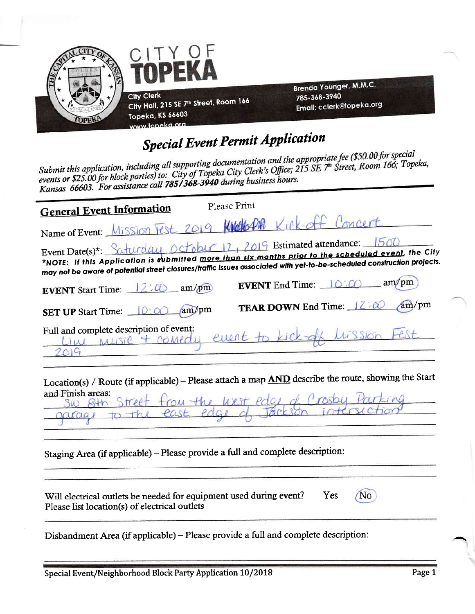

# **Special Event Permit Application**

Submit this application, including all supporting documentation and the appropriate fee (\$50.00 for special events or \$25.00 for block parties) to: City of Topeka City Clerk's Office; 215 SE 7<sup>th</sup> Street, Room 166; Topeka, Kansas 66603. For assistance call 785/368-3940 during business hours.

| <b>General Event Information</b>                                                                                                                                                                                                                                                                               | Please Print |                                                 |       |
|----------------------------------------------------------------------------------------------------------------------------------------------------------------------------------------------------------------------------------------------------------------------------------------------------------------|--------------|-------------------------------------------------|-------|
| Name of Event: Mission Fest 2019 Kills PAR Kill-off Concert                                                                                                                                                                                                                                                    |              |                                                 |       |
| Event Date(s)*: Saturday October 12, 2019 Estimated attendance: 1500<br>*NOTE: If this Application is submitted <u>more than six months prior to the scheduled event</u> , the City<br>may not be aware of potential street closures/traffic issues associated with yet-to-be-scheduled construction projects. |              |                                                 |       |
| <b>EVENT</b> Start Time: $12:0$ am/pm                                                                                                                                                                                                                                                                          |              | <b>EVENT</b> End Time: $\Box$ $\odot$ : $\odot$ | am/pm |
| SET UP Start Time: <u>0:00</u> am/pm                                                                                                                                                                                                                                                                           |              | TEAR DOWN End Time: 12:00 am/pm                 |       |
| Full and complete description of event:<br>MUSIC + comedy event to kick-off lission Fest                                                                                                                                                                                                                       |              |                                                 |       |
|                                                                                                                                                                                                                                                                                                                |              |                                                 |       |

Location(s) / Route (if applicable) - Please attach a map **AND** describe the route, showing the Start and Finish areas:  $\qquad \qquad$  $\mu = 1 - \lambda + 1$ . A Araby Darlin

|  |  | SW SHA STREET FROM the West Page of Crosby Parking |  |
|--|--|----------------------------------------------------|--|
|  |  | garges to the east edge of teckson intersection.   |  |
|  |  |                                                    |  |

Staging Area (if applicable) - Please provide a full and complete description:

Yes Will electrical outlets be needed for equipment used during event? Please list location(s) of electrical outlets

No

Disbandment Area (if applicable) – Please provide a full and complete description: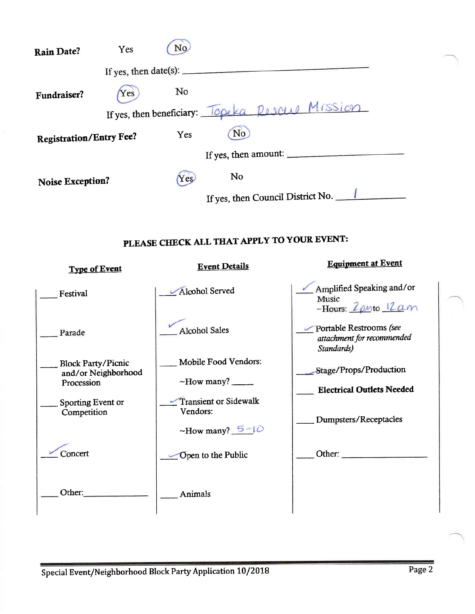| <b>Rain Date?</b>              | Yes                                                                                                                                                                                                                                                                                                                                                                                                           | No. |                                                   |  |
|--------------------------------|---------------------------------------------------------------------------------------------------------------------------------------------------------------------------------------------------------------------------------------------------------------------------------------------------------------------------------------------------------------------------------------------------------------|-----|---------------------------------------------------|--|
|                                | If yes, then date(s): $\frac{1}{\sqrt{1-\frac{1}{\sqrt{1-\frac{1}{\sqrt{1-\frac{1}{\sqrt{1-\frac{1}{\sqrt{1-\frac{1}{\sqrt{1-\frac{1}{\sqrt{1-\frac{1}{\sqrt{1-\frac{1}{\sqrt{1-\frac{1}{\sqrt{1-\frac{1}{\sqrt{1-\frac{1}{\sqrt{1-\frac{1}{\sqrt{1-\frac{1}{\sqrt{1-\frac{1}{\sqrt{1-\frac{1}{\sqrt{1-\frac{1}{\sqrt{1-\frac{1}{\sqrt{1-\frac{1}{\sqrt{1-\frac{1}{\sqrt{1-\frac{1}{\sqrt{1-\frac{1}{\sqrt{1$ |     |                                                   |  |
| Fundraiser?                    | Yes                                                                                                                                                                                                                                                                                                                                                                                                           | No  |                                                   |  |
|                                |                                                                                                                                                                                                                                                                                                                                                                                                               |     | If yes, then beneficiary: Topeka Resource Mission |  |
| <b>Registration/Entry Fee?</b> |                                                                                                                                                                                                                                                                                                                                                                                                               | Yes | No                                                |  |
|                                |                                                                                                                                                                                                                                                                                                                                                                                                               |     | If yes, then amount:                              |  |
| Noise Exception?               |                                                                                                                                                                                                                                                                                                                                                                                                               | Yes | No                                                |  |
|                                |                                                                                                                                                                                                                                                                                                                                                                                                               |     | If yes, then Council District No.                 |  |

### PLEASE CHECK ALL THAT APPLY TO YOUR EVENT:

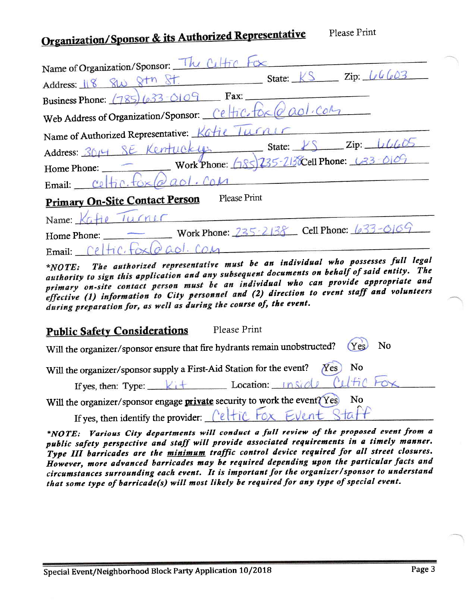# Organization/Sponsor & its Authorized Representative

| Name of Organization/Sponsor: The Celtic<br>$\mathop{\rm Zip}\nolimits$ $\iota\iota\iota\iota\iota\iota\circ\iota\circ\iota$                                                            |
|-----------------------------------------------------------------------------------------------------------------------------------------------------------------------------------------|
| State:<br>Address: 18 8W                                                                                                                                                                |
| Fax:<br>Business Phone: $(785)(633 - 0109)$                                                                                                                                             |
| Web Address of Organization/Sponsor: Celfic.                                                                                                                                            |
| 70/11<br>Name of Authorized Representative: Kat                                                                                                                                         |
| Zip:<br>State:<br>Address: 3014 SE Kentucky                                                                                                                                             |
| Work Phone: $(185)235 - 213$ Cell Phone: $(33 - 0)07$<br>Home Phone:                                                                                                                    |
| Email:                                                                                                                                                                                  |
| Please Print<br><b>Primary On-Site Contact Person</b>                                                                                                                                   |
| Name:                                                                                                                                                                                   |
| Work Phone: 235-2138 Cell Phone: $633 - 0109$<br>Home Phone:                                                                                                                            |
| Email:                                                                                                                                                                                  |
| The authorized representative must be an individual who possesses full legal<br>*NOTE:<br>authority to sign this annlication and any subsequent documents on behalf of said entity. The |

Please Print

primary on-site contact person must be an individual who can provide appropriate and effective (1) information to City personnel and (2) direction to event staff and volunteers during preparation for, as well as during the course of, the event.

#### Please Print **Public Safety Considerations**

| Will the organizer/sponsor ensure that fire hydrants remain unobstructed? (Yes) No                 |
|----------------------------------------------------------------------------------------------------|
|                                                                                                    |
| Will the organizer/sponsor supply a First-Aid Station for the event? $Xes$ No                      |
|                                                                                                    |
| If yes, then: Type: Kit Location: Inside Cultic Fox                                                |
| Will the organizer/sponsor engage <b>private</b> security to work the event? Yes<br>$\mathbf{N}$ o |
| If yes, then identify the provider: Celtic Fox Event Staff                                         |

\*NOTE: Various City departments will conduct a full review of the proposed event from a public safety perspective and staff will provide associated requirements in a timely manner. Type III barricades are the minimum traffic control device required for all street closures. However, more advanced barricades may be required depending upon the particular facts and circumstances surrounding each event. It is important for the organizer/sponsor to understand that some type of barricade(s) will most likely be required for any type of special event.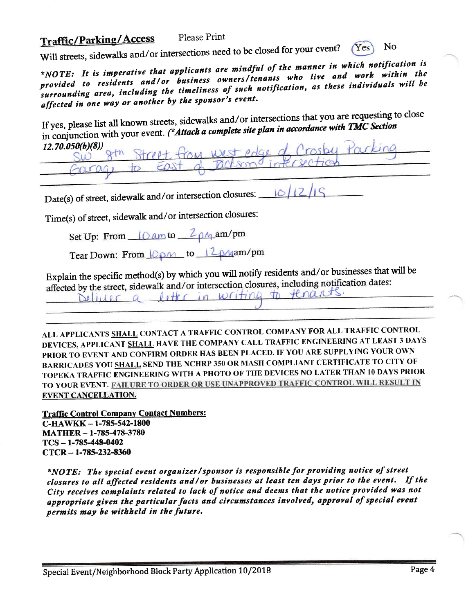#### **Traffic/Parking/Access** Please Print

Will streets, sidewalks and/or intersections need to be closed for your event? No  $Yes$ 

\*NOTE: It is imperative that applicants are mindful of the manner in which notification is provided to residents and/or business owners/tenants who live and work within the surrounding area, including the timeliness of such notification, as these individuals will be affected in one way or another by the sponsor's event.

If yes, please list all known streets, sidewalks and/or intersections that you are requesting to close in conjunction with your event. (\*Attach a complete site plan in accordance with TMC Section  $12.70.050(b)(8)$ 

TOM West

Date(s) of street, sidewalk and/or intersection closures:  $101$ 

Time(s) of street, sidewalk and/or intersection closures:

Set Up: From 10 am to 2 pm am/pm

Tear Down: From  $\sqrt{Q\rho M}$  to  $\sqrt{2\phi M}$ am/pm

Explain the specific method(s) by which you will notify residents and/or businesses that will be affected by the street, sidewalk and/or intersection closures, including notification dates: Deliver a litter in writing to tenants.

ALL APPLICANTS SHALL CONTACT A TRAFFIC CONTROL COMPANY FOR ALL TRAFFIC CONTROL DEVICES, APPLICANT SHALL HAVE THE COMPANY CALL TRAFFIC ENGINEERING AT LEAST 3 DAYS PRIOR TO EVENT AND CONFIRM ORDER HAS BEEN PLACED. IF YOU ARE SUPPLYING YOUR OWN BARRICADES YOU SHALL SEND THE NCHRP 350 OR MASH COMPLIANT CERTIFICATE TO CITY OF TOPEKA TRAFFIC ENGINEERING WITH A PHOTO OF THE DEVICES NO LATER THAN 10 DAYS PRIOR TO YOUR EVENT. FAILURE TO ORDER OR USE UNAPPROVED TRAFFIC CONTROL WILL RESULT IN **EVENT CANCELLATION.** 

**Traffic Control Company Contact Numbers:** C-HAWKK-1-785-542-1800 **MATHER - 1-785-478-3780**  $TCS - 1-785-448-0402$  $CTCR - 1-785-232-8360$ 

\*NOTE: The special event organizer/sponsor is responsible for providing notice of street closures to all affected residents and/or businesses at least ten days prior to the event. If the City receives complaints related to lack of notice and deems that the notice provided was not appropriate given the particular facts and circumstances involved, approval of special event permits may be withheld in the future.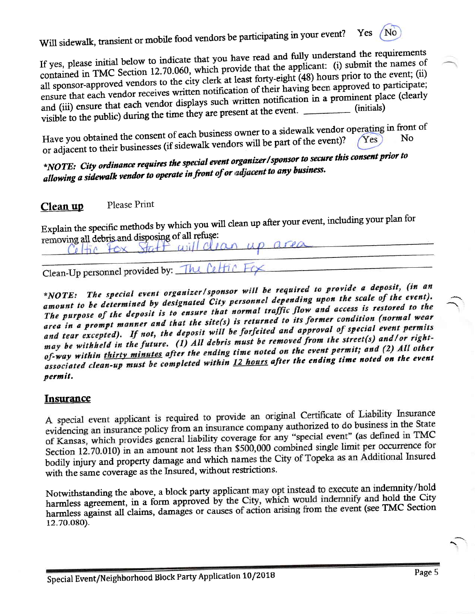Will sidewalk, transient or mobile food vendors be participating in your event? Yes No

If yes, please initial below to indicate that you have read and fully understand the requirements contained in TMC Section 12.70.060, which provide that the applicant: (i) submit the names of all sponsor-approved vendors to the city clerk at least forty-eight (48) hours prior to the event; (ii) ensure that each vendor receives written notification of their having been approved to participate; and (iii) ensure that each vendor displays such written notification in a prominent place (clearly visible to the public) during the time they are present at the event.

Have you obtained the consent of each business owner to a sidewalk vendor operating in front of or adjacent to their businesses (if sidewalk vendors will be part of the event)?

\*NOTE: City ordinance requires the special event organizer/sponsor to secure this consent prior to allowing a sidewalk vendor to operate in front of or adjacent to any business.

#### Please Print Clean up

Explain the specific methods by which you will clean up after your event, including your plan for removing all debris and disposing of all refuse: up area

Clean-Up personnel provided by: The Celfic

Celtic Fox Staff will clean

\*NOTE: The special event organizer/sponsor will be required to provide a deposit, (in an amount to be determined by designated City personnel depending upon the scale of the event). The purpose of the deposit is to ensure that normal traffic flow and access is restored to the area in a prompt manner and that the site(s) is returned to its former condition (normal wear and tear excepted). If not, the deposit will be forfeited and approval of special event permits may be withheld in the future. (1) All debris must be removed from the street(s) and/or rightof-way within thirty minutes after the ending time noted on the event permit; and (2) All other associated clean-up must be completed within 12 hours after the ending time noted on the event permit.

### **Insurance**

A special event applicant is required to provide an original Certificate of Liability Insurance evidencing an insurance policy from an insurance company authorized to do business in the State of Kansas, which provides general liability coverage for any "special event" (as defined in TMC Section 12.70.010) in an amount not less than \$500,000 combined single limit per occurrence for bodily injury and property damage and which names the City of Topeka as an Additional Insured with the same coverage as the Insured, without restrictions.

Notwithstanding the above, a block party applicant may opt instead to execute an indemnity/hold harmless agreement, in a form approved by the City, which would indemnify and hold the City harmless against all claims, damages or causes of action arising from the event (see TMC Section 12.70.080).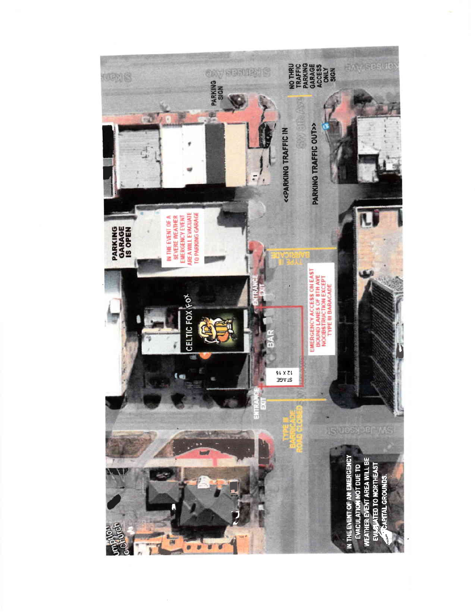